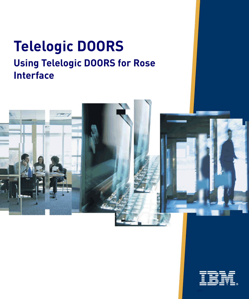# **Telelogic DOORS Using Telelogic DOORS for Rose Interface**



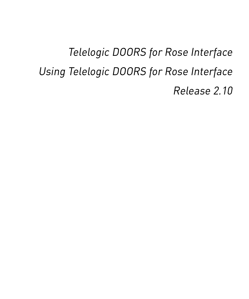# *Telelogic DOORS for Rose Interface Using Telelogic DOORS for Rose Interface Release 2.10*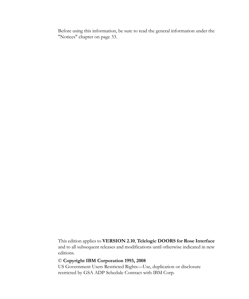Before using this information, be sure to read the general information under the ["Notices" chapter on page 33.](#page-38-0)

This edition applies to **VERSION 2.10**, **Telelogic DOORS for Rose Interface**  and to all subsequent releases and modifications until otherwise indicated in new editions.

#### © **Copyright IBM Corporation 1993, 2008**

US Government Users Restricted Rights—Use, duplication or disclosure restricted by GSA ADP Schedule Contract with IBM Corp.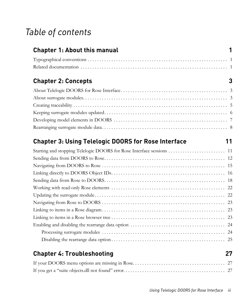# *Table of contents*

| <b>Chapter 1: About this manual</b>                        |   |
|------------------------------------------------------------|---|
|                                                            |   |
|                                                            |   |
| <b>Chapter 2: Concepts</b>                                 | 3 |
|                                                            |   |
|                                                            |   |
|                                                            |   |
|                                                            |   |
|                                                            |   |
|                                                            |   |
| <b>Chapter 3: Using Telelogic DOORS for Rose Interface</b> |   |

# **[Chapter 4: Troubleshooting 27](#page-32-0)** [If your DOORS menu options are missing in Rose. . . . . . . . . . . . . . . . . . . . . . . . . . . . . . . . . . . . . . . 27](#page-32-1) [If you get a "suite objects.dll not found" error. . . . . . . . . . . . . . . . . . . . . . . . . . . . . . . . . . . . . . . . . . . 27](#page-32-2)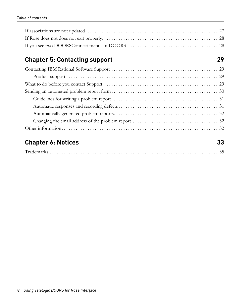# **[Chapter 5: Contacting support 29](#page-34-0)**

# **[Chapter 6: Notices 33](#page-38-1)**

|--|--|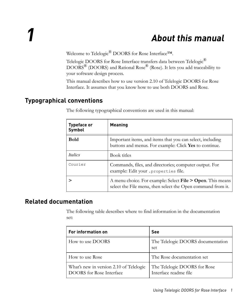# *1 About this manual*

<span id="page-6-0"></span>Welcome to Telelogic® DOORS for Rose Interface™.

Telelogic DOORS for Rose Interface transfers data between Telelogic $^\circledR$  $\mathrm{DOORS}^{\circledR}$  (DOORS) and Rational Rose $^{\circledR}$  (Rose). It lets you add traceability to your software design process.

This manual describes how to use version 2.10 of Telelogic DOORS for Rose Interface. It assumes that you know how to use both DOORS and Rose.

# <span id="page-6-1"></span>**Typographical conventions**

| <b>Typeface or</b><br>Symbol | <b>Meaning</b>                                                                                                            |
|------------------------------|---------------------------------------------------------------------------------------------------------------------------|
| <b>Bold</b>                  | Important items, and items that you can select, including<br>buttons and menus. For example: Click Yes to continue.       |
| <i>Italics</i>               | Book titles                                                                                                               |
| Courier                      | Commands, files, and directories; computer output. For<br>example: Edit your . properties file.                           |
|                              | A menu choice. For example: Select File > Open. This means<br>select the File menu, then select the Open command from it. |

The following typographical conventions are used in this manual:

## <span id="page-6-2"></span>**Related documentation**

The following table describes where to find information in the documentation set:

| For information on                                                         | See                                                   |
|----------------------------------------------------------------------------|-------------------------------------------------------|
| How to use DOORS                                                           | The Telelogic DOORS documentation<br>set              |
| How to use Rose                                                            | The Rose documentation set                            |
| What's new in version 2.10 of Telelogic<br><b>DOORS</b> for Rose Interface | The Telelogic DOORS for Rose<br>Interface readme file |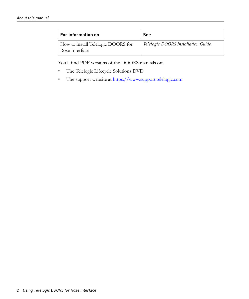| <b>For information on</b>                            | See                                |
|------------------------------------------------------|------------------------------------|
| How to install Telelogic DOORS for<br>Rose Interface | Telelogic DOORS Installation Guide |

You'll find PDF versions of the DOORS manuals on:

- The Telelogic Lifecycle Solutions DVD
- The support website at https://www.support.telelogic.com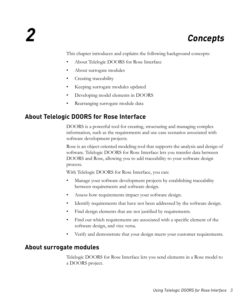# <span id="page-8-0"></span>*2 Concepts*

This chapter introduces and explains the following background concepts:

- [About Telelogic DOORS for Rose Interface](#page-8-1)
- [About surrogate modules](#page-8-2)
- [Creating traceability](#page-10-0)
- [Keeping surrogate modules updated](#page-11-0)
- [Developing model elements in DOORS](#page-12-0)
- [Rearranging surrogate module data](#page-13-0)

# <span id="page-8-4"></span><span id="page-8-1"></span>**About Telelogic DOORS for Rose Interface**

DOORS is a powerful tool for creating, structuring and managing complex information, such as the requirements and use case scenarios associated with software development projects.

Rose is an object-oriented modeling tool that supports the analysis and design of software. Telelogic DOORS for Rose Interface lets you transfer data between DOORS and Rose, allowing you to add traceability to your software design process.

With Telelogic DOORS for Rose Interface, you can:

- Manage your software development projects by establishing traceability between requirements and software design.
- Assess how requirements impact your software design.
- Identify requirements that have not been addressed by the software design.
- Find design elements that are not justified by requirements.
- Find out which requirements are associated with a specific element of the software design, and vice versa.
- Verify and demonstrate that your design meets your customer requirements.

#### <span id="page-8-3"></span><span id="page-8-2"></span>**About surrogate modules**

Telelogic DOORS for Rose Interface lets you send elements in a Rose model to a DOORS project.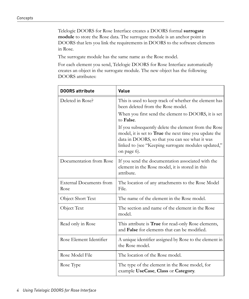Telelogic DOORS for Rose Interface creates a DOORS formal **surrogate module** to store the Rose data. The surrogate module is an anchor point in DOORS that lets you link the requirements in DOORS to the software elements in Rose.

The surrogate module has the same name as the Rose model.

For each element you send, Telelogic DOORS for Rose Interface automatically creates an object in the surrogate module. The new object has the following DOORS attributes:

<span id="page-9-0"></span>

| <b>DOORS attribute</b>                 | Value                                                                                                                                                                                                                                        |
|----------------------------------------|----------------------------------------------------------------------------------------------------------------------------------------------------------------------------------------------------------------------------------------------|
| Deleted in Rose?                       | This is used to keep track of whether the element has<br>been deleted from the Rose model.                                                                                                                                                   |
|                                        | When you first send the element to DOORS, it is set<br>to False.                                                                                                                                                                             |
|                                        | If you subsequently delete the element from the Rose<br>model, it is set to <b>True</b> the next time you update the<br>data in DOORS, so that you can see what it was<br>linked to (see "Keeping surrogate modules updated,"<br>on page 6). |
| Documentation from Rose                | If you send the documentation associated with the<br>element in the Rose model, it is stored in this<br>attribute.                                                                                                                           |
| <b>External Documents from</b><br>Rose | The location of any attachments to the Rose Model<br>File.                                                                                                                                                                                   |
| Object Short Text                      | The name of the element in the Rose model.                                                                                                                                                                                                   |
| Object Text                            | The section and name of the element in the Rose<br>model.                                                                                                                                                                                    |
| Read only in Rose                      | This attribute is <b>True</b> for read-only Rose elements,<br>and False for elements that can be modified.                                                                                                                                   |
| Rose Element Identifier                | A unique identifier assigned by Rose to the element in<br>the Rose model.                                                                                                                                                                    |
| Rose Model File                        | The location of the Rose model.                                                                                                                                                                                                              |
| Rose Type                              | The type of the element in the Rose model, for<br>example UseCase, Class or Category.                                                                                                                                                        |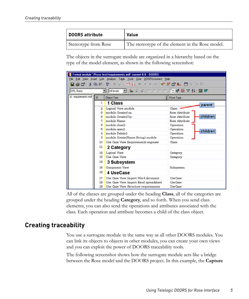| <b>DOORS attribute</b> | Value                                            |
|------------------------|--------------------------------------------------|
| Stereotype from Rose   | The stereotype of the element in the Rose model. |

<span id="page-10-1"></span>The objects in the surrogate module are organized in a hierarchy based on the type of the model element, as shown in the following screenshot:

| Formal module '/Rose test/requirements.mdl' current 0.0 - DOORS   |       |                                                        |                            |
|-------------------------------------------------------------------|-------|--------------------------------------------------------|----------------------------|
| Edit View Insert Link Analysis Table Tools User DOORSconnect Help |       |                                                        |                            |
| B&@`\\$@&\*\XV E'E\BIU@ F'F@`& B`T}@`                             |       |                                                        |                            |
| <b>DRL</b> Basic                                                  |       | ▼││Allevels ▼│ ኤ.       ま 目 目 目 目 【 】 ( 懲 ▽ 2)   盆 107 |                            |
| E-requirements.mdl                                                | l ID. | <b>Object Text</b>                                     | $\frac{p}{n}$ Rose Type    |
|                                                                   | 1     | 1 Class                                                | parent                     |
|                                                                   | 2     | Logical View.module                                    | Class                      |
|                                                                   | g     | module.Created on:                                     | Rose Attribute             |
|                                                                   | 8     | module. Created by:                                    | children<br>Rose Attribute |
|                                                                   | 7     | module Name:                                           | Rose Attribute             |
|                                                                   | б     | module.close();                                        | Operation                  |
|                                                                   | 5     | module.open();                                         | Operation<br>children      |
|                                                                   | 4     | module.Delete():                                       | Operation                  |
|                                                                   | з     | module.Create(Name:String):module                      | Operation                  |
|                                                                   | 10    | Use Case View Requirements engineer                    | Class                      |
|                                                                   | 11    | 2 Category                                             |                            |
|                                                                   | 12    | Logical View                                           | Category                   |
|                                                                   | 13    | Use Case View                                          | Category                   |
|                                                                   | 14    | 3 Subsystem                                            |                            |
|                                                                   | 15    | Component View                                         | Subsystem                  |
|                                                                   | 16    | 4 UseCase                                              |                            |
|                                                                   | 17    | Use Case View. Import Word document                    | <b>HseCase</b>             |
|                                                                   | 18    | Use Case View. Import Excel spreadsheet                | <b>UseCase</b>             |
|                                                                   | 19    | Use Case View.Structure requirements                   | <b>UseCase</b>             |

All of the classes are grouped under the heading **Class**, all of the categories are grouped under the heading **Category**, and so forth. When you send class elements, you can also send the operations and attributes associated with the class. Each operation and attribute becomes a child of the class object.

## <span id="page-10-2"></span><span id="page-10-0"></span>**Creating traceability**

You use a surrogate module in the same way as all other DOORS modules. You can link its objects to objects in other modules, you can create your own views and you can exploit the power of DOORS traceability tools.

The following screenshot shows how the surrogate module acts like a bridge between the Rose model and the DOORS project. In this example, the **Capture**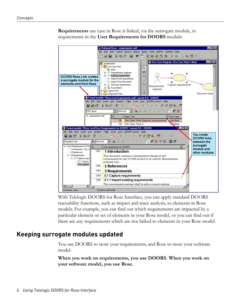

**Requirements** use case in Rose is linked, via the surrogate module, to requirements in the **User Requirements for DOORS** module:

With Telelogic DOORS for Rose Interface, you can apply standard DOORS traceability functions, such as impact and trace analysis, to elements in Rose models. For example, you can find out which requirements are impacted by a particular element or set of elements in your Rose model, or you can find out if there are any requirements which are not linked to elements in your Rose model.

## <span id="page-11-0"></span>**Keeping surrogate modules updated**

<span id="page-11-1"></span>You use DOORS to store your requirements, and Rose to store your software model.

**When you work on requirements, you use DOORS. When you work on your software model, you use Rose.**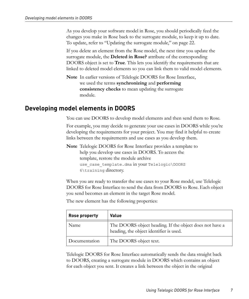As you develop your software model in Rose, you should periodically feed the changes you make in Rose back to the surrogate module, to keep it up to date. To update, refer to ["Updating the surrogate module," on page 22.](#page-27-2)

If you delete an element from the Rose model, the next time you update the surrogate module, the **Deleted in Rose?** attribute of the corresponding DOORS object is set to **True**. This lets you identify the requirements that are linked to deleted model elements so you can link them to valid model elements.

<span id="page-12-2"></span>**Note** In earlier versions of Telelogic DOORS for Rose Interface, we used the terms **synchronizing** and **performing consistency checks** to mean updating the surrogate module.

## <span id="page-12-1"></span><span id="page-12-0"></span>**Developing model elements in DOORS**

You can use DOORS to develop model elements and then send them to Rose.

For example, you may decide to generate your use cases in DOORS while you're developing the requirements for your project. You may find it helpful to create links between the requirements and use cases as you develop them.

**Note** Telelogic DOORS for Rose Interface provides a template to help you develop use cases in DOORS. To access the template, restore the module archive use case template.dma in your Telelogic\DOORS 6\training directory.

When you are ready to transfer the use cases to your Rose model, use Telelogic DOORS for Rose Interface to send the data from DOORS to Rose. Each object you send becomes an element in the target Rose model.

The new element has the following properties:

| <b>Rose property</b> | Value                                                                                              |
|----------------------|----------------------------------------------------------------------------------------------------|
| Name                 | The DOORS object heading. If the object does not have a<br>heading, the object identifier is used. |
| Documentation        | The DOORS object text.                                                                             |

Telelogic DOORS for Rose Interface automatically sends the data straight back to DOORS, creating a surrogate module in DOORS which contains an object for each object you sent. It creates a link between the object in the original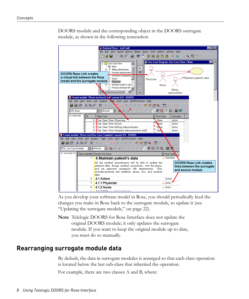Rational Rose - test2.mdl  $\Box$ ile Edit View Format Browse Report Query Tools Add-Ins Window Help **B** Use Case Diagram: Use Case View / Main ET≛ -**∩** Use Case View -<br>- 钱 Main<br>- 옷 Billing administrator  $\overline{\mathcal{R}}$ ABC  $\overline{\mathfrak{D}}$ Hospital administrativ **DOORS Rose Link creates** Insurance compar e a virtual link between the Rose Maintain patient's data .<br>옷 Nurse Physician model and the surrogate module  $\frac{2}{3}$  Physician  $\Box$ Maintain patient's dat Nurse Produce itemized bill 0 Billing  $\blacktriangleright$ 옷 administrator **f** Formal module '/Rose test/test2.m<mark>.</mark>di' current 0.0 - DOORS File Edit View Insert Link Analysis Table Tools User DOORSconnect Help 'B, B Z U AG F F @ B, O T } B B  $\blacksquare$   $\oplus$   $\blacksquare'$   $\parallel$   $\Downarrow$   $\blacksquare$   $\blacksquare$   $\blacksquare$  $\boxed{\blacksquare}$  All levels **DRL Basic**  $\overline{\phantom{a}}$  $\mathbb{T}$ :  $\epsilon$  b  $\mathbf{\nabla}$   $\ell$  b  $\mathbf{w}$ F test2.md **Object Text** Rose Type Stereotype 3 Use Case View Physician Class Actor  $\sqrt{4}$ Use Case View Nurse lass Actor 5 Use Case View Billing administrator  $Ch$ <sub>ss</sub> Actor 6 | Use Case View Hospital administrative staff Clas Actor T Formal module '/Rose test/Use Case Template' current 0.0 - DOORS File Edit View Insert Link Analysis Table Tools User DOORSconnect Help **BGC X DBV X √ E B / B / U M F F G & O** H: C B ▽ 2 L B D E Use Case Te Dbject Identifier Generic Use Cases Rose Type 1 4 Maintain patient's data **UseCase** All the medical practitioners will be able to update the **DOORS Rose Link creates** patient's data during medical procedures, over the phone, links between the surrogate and via approved company's HR departments. This and source module includes personal info (address, phone, etc), and medical data. 2 4.1 Actors (none)  $\overline{\phantom{a}}$  Actor 7 4.1.1 Physician 8 4.1.2 Nurse  $\overline{A}$  Actor

DOORS module and the corresponding object in the DOORS surrogate module, as shown in the following screenshot:

As you develop your software model in Rose, you should periodically feed the changes you make in Rose back to the surrogate module, to update it (see ["Updating the surrogate module," on page 22](#page-27-2)).

**Note** Telelogic DOORS for Rose Interface does not update the original DOORS module; it only updates the surrogate module. If you want to keep the original module up to date, you must do so manually.

# <span id="page-13-1"></span><span id="page-13-0"></span>**Rearranging surrogate module data**

By default, the data in surrogate modules is arranged so that each class operation is located below the last sub-class that inherited the operation.

For example, there are two classes A and B, where: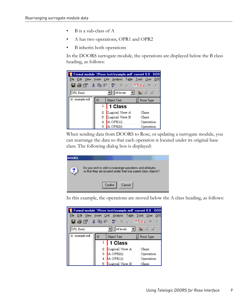- B is a sub-class of A
- A has two operations, OPR1 and OPR2
- B inherits both operations

In the DOORS surrogate module, the operations are displayed below the B class heading, as follows:



When sending data from DOORS to Rose, or updating a surrogate module, you can rearrange the data so that each operation is located under its original base class. The following dialog box is displayed:

| <b>DOORS</b> |                                                                                                                               |        |  |
|--------------|-------------------------------------------------------------------------------------------------------------------------------|--------|--|
| $\mathbf{r}$ | Do you wish to wish to rearrange operations and attributes<br>so that they are located under their true parent class objects? |        |  |
|              | Confirm                                                                                                                       | Cancel |  |

In this example, the operations are moved below the A class heading, as follows:

|                  |    | Formal module '/Rose test/example.mdl' current 0.0 - DOO                                                                                               |           |
|------------------|----|--------------------------------------------------------------------------------------------------------------------------------------------------------|-----------|
|                  |    | <u>File Edit View Insert Link Analysis Table Tools User DOC</u>                                                                                        |           |
|                  |    |                                                                                                                                                        |           |
| <b>DRL</b> Basic |    | $\blacktriangleright$ All levels $\blacktriangleright$ $\blacktriangleright$ $\blacktriangleright$ $\mathbf{H}$ $\mathbf{H}$ $\mathbf{H}$ $\mathbf{H}$ |           |
| E- example.mdl   | ID | Object Text                                                                                                                                            | Rose Type |
|                  |    | $1$   1 Class                                                                                                                                          |           |
|                  |    | 2 Logical View A                                                                                                                                       | Class     |
|                  | з  | $A.$ OPR20:                                                                                                                                            | Operation |
|                  |    | $4$ A.OPR10:                                                                                                                                           | Operation |
|                  |    | 5 Logical View.B                                                                                                                                       | Class     |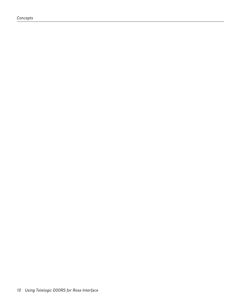*Concepts*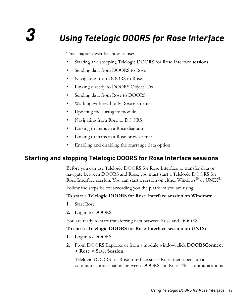# <span id="page-16-0"></span>*3 Using Telelogic DOORS for Rose Interface*

This chapter describes how to use:

- [Starting and stopping Telelogic DOORS for Rose Interface sessions](#page-16-1)
- [Sending data from DOORS to Rose](#page-17-0)
- [Navigating from DOORS to Rose](#page-20-0)
- [Linking directly to DOORS Object IDs](#page-21-0)
- [Sending data from Rose to DOORS](#page-23-0)
- [Working with read-only Rose elements](#page-27-0)
- [Updating the surrogate module](#page-27-1)
- [Navigating from Rose to DOORS](#page-28-0)
- [Linking to items in a Rose diagram](#page-28-1)
- [Linking to items in a Rose browser tree](#page-28-2)
- [Enabling and disabling the rearrange data option](#page-29-0)

## <span id="page-16-2"></span><span id="page-16-1"></span>**Starting and stopping Telelogic DOORS for Rose Interface sessions**

Before you can use Telelogic DOORS for Rose Interface to transfer data or navigate between DOORS and Rose, you must start a Telelogic DOORS for Rose Interface session. You can start a session on either Windows<sup>®</sup> or UNIX<sup>®</sup>.

Follow the steps below according you the platform you are using.

#### **To start a Telelogic DOORS for Rose Interface session on Windows:**

- **1.** Start Rose.
- **2.** Log in to DOORS.

You are ready to start transferring data between Rose and DOORS.

#### **To start a Telelogic DOORS for Rose Interface session on UNIX:**

- **1.** Log in to DOORS.
- **2.** From DOORS Explorer or from a module window, click **DOORSConnect > Rose > Start Session**.

Telelogic DOORS for Rose Interface starts Rose, then opens up a communications channel between DOORS and Rose. This communications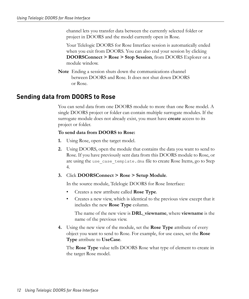channel lets you transfer data between the currently selected folder or project in DOORS and the model currently open in Rose.

<span id="page-17-3"></span>Your Telelogic DOORS for Rose Interface session is automatically ended when you exit from DOORS. You can also end your session by clicking **DOORSConnect > Rose > Stop Session**, from DOORS Explorer or a module window.

**Note** Ending a session shuts down the communications channel between DOORS and Rose. It does not shut down DOORS or Rose.

## <span id="page-17-2"></span><span id="page-17-0"></span>**Sending data from DOORS to Rose**

You can send data from one DOORS module to more than one Rose model. A single DOORS project or folder can contain multiple surrogate modules. If the surrogate module does not already exist, you must have **create** access to its project or folder.

#### **To send data from DOORS to Rose:**

- **1.** Using Rose, open the target model.
- **2.** Using DOORS, open the module that contains the data you want to send to Rose. If you have previously sent data from this DOORS module to Rose, or are using the use\_case\_template.dma file to create Rose Items, go to [Step](#page-17-1)  [4](#page-17-1).

#### **3.** Click **DOORSConnect > Rose > Setup Module**.

In the source module, Telelogic DOORS for Rose Interface:

- Creates a new attribute called **Rose Type**.
- Creates a new view, which is identical to the previous view except that it includes the new **Rose Type** column.

The name of the new view is **DRL\_viewname**, where **viewname** is the name of the previous view.

<span id="page-17-1"></span>**4.** Using the new view of the module, set the **Rose Type** attribute of every object you want to send to Rose. For example, for use cases, set the **Rose Type** attribute to **UseCase**.

The **Rose Type** value tells DOORS Rose what type of element to create in the target Rose model.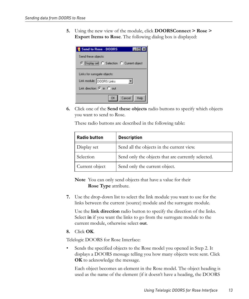**5.** Using the new view of the module, click **DOORSConnect > Rose > Export Items to Rose**. The following dialog box is displayed:

| <b>Send to Rose - DOORS</b>                |
|--------------------------------------------|
| Send these objects:                        |
| C Display set C Selection C Current object |
| Links for surrogate objects:               |
| Link module: DOORS Links                   |
| Link direction: $\bullet$ in $\bullet$ out |
| Help<br>Cancel<br>OK.                      |

**6.** Click one of the **Send these objects** radio buttons to specify which objects you want to send to Rose.

These radio buttons are described in the following table:

| <b>Radio button</b> | <b>Description</b>                                 |
|---------------------|----------------------------------------------------|
| Display set         | Send all the objects in the current view.          |
| Selection           | Send only the objects that are currently selected. |
| Current object      | Send only the current object.                      |

**Note** You can only send objects that have a value for their **Rose Type** attribute.

**7.** Use the drop-down list to select the link module you want to use for the links between the current (source) module and the surrogate module.

Use the **link direction** radio button to specify the direction of the links. Select **in** if you want the links to go from the surrogate module to the current module, otherwise select **out**.

**8.** Click **OK**.

Telelogic DOORS for Rose Interface:

• Sends the specified objects to the Rose model you opened in Step 2. It displays a DOORS message telling you how many objects were sent. Click **OK** to acknowledge the message.

Each object becomes an element in the Rose model. The object heading is used as the name of the element (if it doesn't have a heading, the DOORS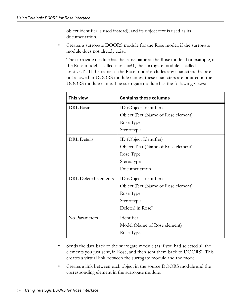object identifier is used instead), and its object text is used as its documentation.

• Creates a surrogate DOORS module for the Rose model, if the surrogate module does not already exist.

The surrogate module has the same name as the Rose model. For example, if the Rose model is called test.mdl, the surrogate module is called test.mdl. If the name of the Rose model includes any characters that are not allowed in DOORS module names, these characters are omitted in the DOORS module name. The surrogate module has the following views:

| This view            | <b>Contains these columns</b>                                                                               |
|----------------------|-------------------------------------------------------------------------------------------------------------|
| DRL Basic            | ID (Object Identifier)<br>Object Text (Name of Rose element)<br>Rose Type<br>Stereotype                     |
| <b>DRL</b> Details   | ID (Object Identifier)<br>Object Text (Name of Rose element)<br>Rose Type<br>Stereotype<br>Documentation    |
| DRL Deleted elements | ID (Object Identifier)<br>Object Text (Name of Rose element)<br>Rose Type<br>Stereotype<br>Deleted in Rose? |
| No Parameters        | Identifier<br>Model (Name of Rose element)<br>Rose Type                                                     |

- Sends the data back to the surrogate module (as if you had selected all the elements you just sent, in Rose, and then sent them back to DOORS). This creates a virtual link between the surrogate module and the model.
- Creates a link between each object in the source DOORS module and the corresponding element in the surrogate module.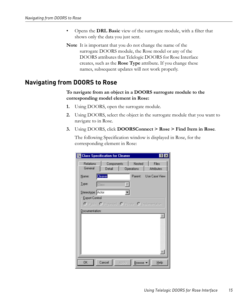- Opens the **DRL Basic** view of the surrogate module, with a filter that shows only the data you just sent.
- **Note** It is important that you do not change the name of the surrogate DOORS module, the Rose model or any of the DOORS attributes that Telelogic DOORS for Rose Interface creates, such as the **Rose Type** attribute. If you change these names, subsequent updates will not work properly.

## <span id="page-20-1"></span><span id="page-20-0"></span>**Navigating from DOORS to Rose**

#### **To navigate from an object in a DOORS surrogate module to the corresponding model element in Rose:**

- **1.** Using DOORS, open the surrogate module.
- **2.** Using DOORS, select the object in the surrogate module that you want to navigate to in Rose.
- **3.** Using DOORS, click **DOORSConnect > Rose > Find Item in Rose**.

The following Specification window is displayed in Rose, for the corresponding element in Rose:

|                                            | <b>Class Specification for Cleaner</b>          |                                      |                            |
|--------------------------------------------|-------------------------------------------------|--------------------------------------|----------------------------|
| <b>Relations</b><br>General                | Components<br>Detail                            | Nested<br><b>Operations</b>          | Files<br><b>Attributes</b> |
| Name:                                      | Cleaner                                         |                                      | Parent: Use Case View      |
| $I$ ype:                                   | Class                                           |                                      |                            |
| Stereotype: Actor<br><b>Export Control</b> | C Public O Protected O Private O Implementation |                                      |                            |
| Documentation:                             |                                                 |                                      |                            |
|                                            |                                                 |                                      |                            |
|                                            |                                                 |                                      |                            |
| OK                                         | Cancel                                          | Apply<br>Browse $\blacktriangledown$ | Help                       |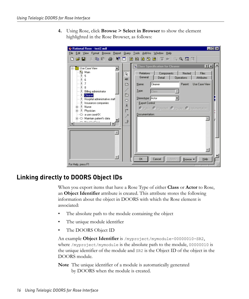**4.** Using Rose, click **Browse > Select in Browser** to show the element highlighted in the Rose Browser, as follows:

| View Format Browse Report Query Tools Add-Ins Window<br>Help<br>Edit<br>File<br>  k? <br>8 to 6 5<br>▣<br>凾<br>B<br>$\begin{array}{c} \circledast & \circledast & \circledast \end{array}$<br>n<br>c ei<br>€<br>ø.<br>□<br>医<br>$\leftarrow$<br>7x<br>Class Specification for Cleaner<br><b>a</b> Use Case View<br>रिक्ने Main<br>Relations<br>Nested<br>Files<br>Components<br>R<br>옷<br>5<br>General<br>Detail<br>Operations<br><b>Attributes</b><br>头头头<br><b>ABC</b><br>6<br>Cleaner<br>Parent:<br>Use Case View<br>Name:<br>戸<br>8<br>옷<br>Type:<br>Class<br>Billing administrator<br>$-\frac{9}{\sqrt{2}}$<br>Ò<br><b>Cleaner</b><br>Stereotype: Actor<br>옷<br>Hospital administrative staff<br>$\circ$<br>吴 Insurance companies<br><b>Export Control</b><br>옷<br>由 关 Nurse<br>O Public O Protected O Private O Implementation<br>由 吴 Physician<br>Documentation:<br>○ a use caseX<br><b>E</b> l-- < > Maintain patient's data<br>₹<br><b>Continuation Common</b> | Rational Rose - test2.mdl<br>$\Box$ DIX |
|-------------------------------------------------------------------------------------------------------------------------------------------------------------------------------------------------------------------------------------------------------------------------------------------------------------------------------------------------------------------------------------------------------------------------------------------------------------------------------------------------------------------------------------------------------------------------------------------------------------------------------------------------------------------------------------------------------------------------------------------------------------------------------------------------------------------------------------------------------------------------------------------------------------------------------------------------------------------------|-----------------------------------------|
|                                                                                                                                                                                                                                                                                                                                                                                                                                                                                                                                                                                                                                                                                                                                                                                                                                                                                                                                                                         |                                         |
| 更<br><b>OK</b><br>Cancel<br><b>Apply</b><br>Browse -<br>Help<br>For Help, press F1                                                                                                                                                                                                                                                                                                                                                                                                                                                                                                                                                                                                                                                                                                                                                                                                                                                                                      |                                         |

# <span id="page-21-2"></span><span id="page-21-0"></span>**Linking directly to DOORS Object IDs**

<span id="page-21-1"></span>When you export items that have a Rose Type of either **Class** or **Actor** to Rose, an **Object Identifier** attribute is created. This attribute stores the following information about the object in DOORS with which the Rose element is associated:

- The absolute path to the module containing the object
- The unique module identifier
- The DOORS Object ID

An example **Object Identifier** is /myproject/mymodule-00000010-SR2, where /myproject/mymodule is the absolute path to the module, 00000010 is the unique identifier of the module and SR2 is the Object ID of the object in the DOORS module.

**Note** The unique identifier of a module is automatically generated by DOORS when the module is created.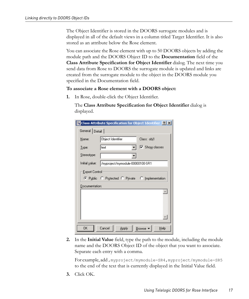The Object Identifier is stored in the DOORS surrogate modules and is displayed in all of the default views in a column titled Target Identifier. It is also stored as an attribute below the Rose element.

You can associate the Rose element with up to 50 DOORS objects by adding the module path and the DOORS Object ID to the **Documentation** field of the **Class Attribute Specification for Object Identifier** dialog. The next time you send data from Rose to DOORS the surrogate module is updated and links are created from the surrogate module to the object in the DOORS module you specified in the Documentation field.

#### <span id="page-22-0"></span>**To associate a Rose element with a DOORS object:**

**1.** In Rose, double-click the Object Identifier.

The **Class Attribute Specification for Object Identifier** dialog is displayed.

|                       | <b>Class Attribute Specification for Object Identifier</b> 7 <b>X</b> |                       |
|-----------------------|-----------------------------------------------------------------------|-----------------------|
| General Detail        |                                                                       |                       |
| Name:                 | Object Identifier                                                     | Class: obj1           |
| Type:                 | text                                                                  | ☑ Show classes        |
| Stereotype:           |                                                                       |                       |
| Initial value:        | /myproject/mymodule-00000100-SR1                                      |                       |
| <b>Export Control</b> |                                                                       |                       |
|                       | ● Public ● Protected ● Private ● Implementation                       |                       |
| Documentation:        |                                                                       |                       |
|                       |                                                                       |                       |
|                       |                                                                       |                       |
| 0K                    | Cancel<br><b>Apply</b>                                                | Help<br><b>Browse</b> |

**2.** In the **Initial Value** field, type the path to the module, including the module name and the DOORS Object ID of the object that you want to associate. Separate each entry with a comma.

For example, add ,myproject/mymodule-SR4,myproject/mymodule-SR5 to the end of the text that is currently displayed in the Initial Value field.

**3.** Click OK.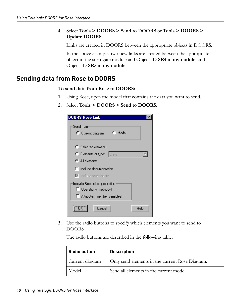#### **4.** Select **Tools > DOORS > Send to DOORS** or **Tools > DOORS > Update DOORS**.

Links are created in DOORS between the appropriate objects in DOORS.

In the above example, two new links are created between the appropriate object in the surrogate module and Object ID **SR4** in **mymodule**, and Object ID **SR5** in **mymodule**.

# <span id="page-23-1"></span><span id="page-23-0"></span>**Sending data from Rose to DOORS**

#### **To send data from Rose to DOORS:**

- **1.** Using Rose, open the model that contains the data you want to send.
- **2.** Select **Tools > DOORS > Send to DOORS**.

| <b>DOORS Rose Link</b>                       |  |
|----------------------------------------------|--|
| Send from:<br>$C$ Model<br>C Current diagram |  |
|                                              |  |
| C Selected elements                          |  |
| Elements of type:<br>Class                   |  |
| $\bullet$ All elements                       |  |
| $\Box$ Include documentation                 |  |
| $\nabla$ Include associations                |  |
| Include Rose class properties                |  |
| <b>Derations</b> (methods)                   |  |
| Attributes (member variables)                |  |
| öΚ<br>Cancel<br>Help                         |  |

**3.** Use the radio buttons to specify which elements you want to send to DOORS.

The radio buttons are described in the following table:

| <b>Radio button</b> | <b>Description</b>                              |
|---------------------|-------------------------------------------------|
| Current diagram     | Only send elements in the current Rose Diagram. |
| Model               | Send all elements in the current model.         |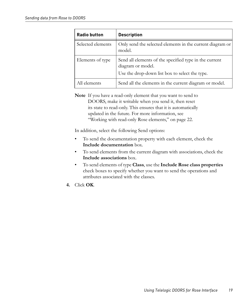| <b>Radio button</b> | <b>Description</b>                                                                                                            |
|---------------------|-------------------------------------------------------------------------------------------------------------------------------|
| Selected elements   | Only send the selected elements in the current diagram or<br>model.                                                           |
| Elements of type    | Send all elements of the specified type in the current<br>diagram or model.<br>Use the drop-down list box to select the type. |
| All elements        | Send all the elements in the current diagram or model.                                                                        |

**Note** If you have a read-only element that you want to send to DOORS, make it writable when you send it, then reset its state to read-only. This ensures that it is automatically updated in the future. For more information, see ["Working with read-only Rose elements," on page 22.](#page-27-0)

In addition, select the following Send options:

- To send the documentation property with each element, check the **Include documentation** box.
- To send elements from the current diagram with associations, check the **Include associations** box.
- To send elements of type **Class**, use the **Include Rose class properties** check boxes to specify whether you want to send the operations and attributes associated with the classes.
- **4.** Click **OK**.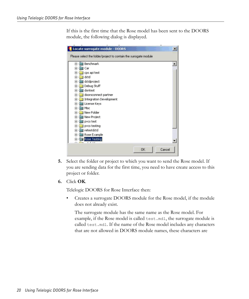If this is the first time that the Rose model has been sent to the DOORS module, the following dialog is displayed.

| Benchmark<br>曱                                   |  |  |
|--------------------------------------------------|--|--|
| Car<br>⊞                                         |  |  |
| cps api test<br>ஈ                                |  |  |
| dctd<br>ஈ                                        |  |  |
| dctdproject<br>⊞                                 |  |  |
| Debug Stuff<br>ஈ                                 |  |  |
| dontest<br>$\overline{+}$                        |  |  |
| doorsconnect partner<br>$\overline{+}$           |  |  |
| <b>Integration Development</b><br>$\overline{+}$ |  |  |
| License Keys<br>$\overline{+}$                   |  |  |
| Misc<br>$\overline{+}$                           |  |  |
| New Folder<br>ஈ                                  |  |  |
| New Project<br>∓                                 |  |  |
| pvcs test<br>$\overline{+}$                      |  |  |
| pvcs testing<br>Ŧ                                |  |  |
| retestdctd<br>$\overline{+}$                     |  |  |
| Rose Example<br>$\overline{+}$                   |  |  |
| Rose Testing<br>田                                |  |  |

- **5.** Select the folder or project to which you want to send the Rose model. If you are sending data for the first time, you need to have create access to this project or folder.
- **6.** Click **OK**.

Telelogic DOORS for Rose Interface then:

• Creates a surrogate DOORS module for the Rose model, if the module does not already exist.

The surrogate module has the same name as the Rose model. For example, if the Rose model is called test.mdl, the surrogate module is called test.mdl. If the name of the Rose model includes any characters that are not allowed in DOORS module names, these characters are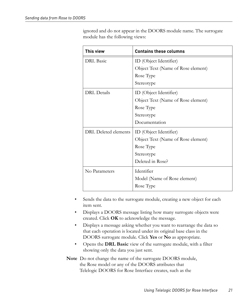| This view            | <b>Contains these columns</b>                                |
|----------------------|--------------------------------------------------------------|
| DRL Basic            | ID (Object Identifier)<br>Object Text (Name of Rose element) |
|                      | Rose Type                                                    |
|                      | Stereotype                                                   |
| <b>DRL</b> Details   | ID (Object Identifier)                                       |
|                      | Object Text (Name of Rose element)                           |
|                      | Rose Type                                                    |
|                      | Stereotype                                                   |
|                      | Documentation                                                |
| DRL Deleted elements | ID (Object Identifier)                                       |
|                      | Object Text (Name of Rose element)                           |
|                      | Rose Type                                                    |
|                      | Stereotype                                                   |
|                      | Deleted in Rose?                                             |
| No Parameters        | Identifier                                                   |
|                      | Model (Name of Rose element)                                 |
|                      | Rose Type                                                    |

ignored and do not appear in the DOORS module name. The surrogate module has the following views:

- Sends the data to the surrogate module, creating a new object for each item sent.
- Displays a DOORS message listing how many surrogate objects were created. Click **OK** to acknowledge the message.
- Displays a message asking whether you want to rearrange the data so that each operation is located under its original base class in the DOORS surrogate module. Click **Yes** or **No** as appropriate.
- Opens the **DRL Basic** view of the surrogate module, with a filter showing only the data you just sent.

**Note** Do not change the name of the surrogate DOORS module, the Rose model or any of the DOORS attributes that Telelogic DOORS for Rose Interface creates, such as the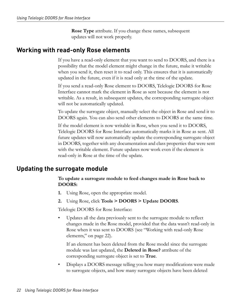**Rose Type** attribute. If you change these names, subsequent updates will not work properly.

# <span id="page-27-3"></span><span id="page-27-0"></span>**Working with read-only Rose elements**

If you have a read-only element that you want to send to DOORS, and there is a possibility that the model element might change in the future, make it writable when you send it, then reset it to read only. This ensures that it is automatically updated in the future, even if it is read only at the time of the update.

If you send a read-only Rose element to DOORS, Telelogic DOORS for Rose Interface cannot mark the element in Rose as sent because the element is not writable. As a result, in subsequent updates, the corresponding surrogate object will not be automatically updated.

To update the surrogate object, manually select the object in Rose and send it to DOORS again. You can also send other elements to DOORS at the same time.

If the model element is now writable in Rose, when you send it to DOORS, Telelogic DOORS for Rose Interface automatically marks it in Rose as sent. All future updates will now automatically update the corresponding surrogate object in DOORS, together with any documentation and class properties that were sent with the writable element. Future updates now work even if the element is read-only in Rose at the time of the update.

# <span id="page-27-2"></span><span id="page-27-1"></span>**Updating the surrogate module**

#### **To update a surrogate module to feed changes made in Rose back to DOORS:**

- **1.** Using Rose, open the appropriate model.
- **2.** Using Rose, click **Tools > DOORS > Update DOORS**.

Telelogic DOORS for Rose Interface:

• Updates all the data previously sent to the surrogate module to reflect changes made in the Rose model, provided that the data wasn't read-only in Rose when it was sent to DOORS (see ["Working with read-only Rose](#page-27-0)  [elements," on page 22\)](#page-27-0).

If an element has been deleted from the Rose model since the surrogate module was last updated, the **Deleted in Rose?** attribute of the corresponding surrogate object is set to **True**.

• Displays a DOORS message telling you how many modifications were made to surrogate objects, and how many surrogate objects have been deleted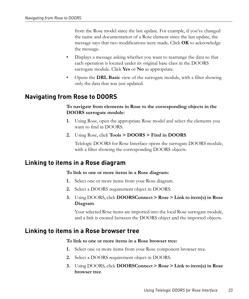from the Rose model since the last update. For example, if you've changed the name and documentation of a Rose element since the last update, the message says that two modifications were made. Click **OK** to acknowledge the message.

- Displays a message asking whether you want to rearrange the data so that each operation is located under its original base class in the DOORS surrogate module. Click **Yes** or **No** as appropriate.
- Opens the **DRL Basic** view of the surrogate module, with a filter showing only the data that was just updated.

# <span id="page-28-5"></span><span id="page-28-0"></span>**Navigating from Rose to DOORS**

#### **To navigate from elements in Rose to the corresponding objects in the DOORS surrogate module:**

- **1.** Using Rose, open the appropriate Rose model and select the elements you want to find in DOORS.
- **2.** Using Rose, click **Tools > DOORS > Find in DOORS**.

Telelogic DOORS for Rose Interface opens the surrogate DOORS module, with a filter showing the corresponding DOORS objects.

# <span id="page-28-4"></span><span id="page-28-1"></span>**Linking to items in a Rose diagram**

#### **To link to one or more items in a Rose diagram:**

- **1.** Select one or more items from your Rose diagram.
- **2.** Select a DOORS requirement object in DOORS.
- **3.** Using DOORS, click **DOORSConnect > Rose > Link to item(s) in Rose Diagram**.

Your selected Rose items are imported into the local Rose surrogate module, and a link is created between the DOORS object and the imported objects.

## <span id="page-28-3"></span><span id="page-28-2"></span>**Linking to items in a Rose browser tree**

#### **To link to one or more items in a Rose browser tree:**

- **1.** Select one or more items from your Rose component browser tree.
- **2.** Select a DOORS requirement object in DOORS.
- **3.** Using DOORS, click **DOORSConnect > Rose > Link to item(s) in Rose browser tree**.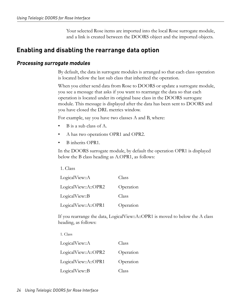Your selected Rose items are imported into the local Rose surrogate module, and a link is created between the DOORS object and the imported objects.

## <span id="page-29-2"></span><span id="page-29-0"></span>**Enabling and disabling the rearrange data option**

#### <span id="page-29-3"></span><span id="page-29-1"></span>*Processing surrogate modules*

By default, the data in surrogate modules is arranged so that each class operation is located below the last sub class that inherited the operation.

When you either send data from Rose to DOORS or update a surrogate module, you see a message that asks if you want to rearrange the data so that each operation is located under its original base class in the DOORS surrogate module. This message is displayed after the data has been sent to DOORS and you have closed the DRL metrics window.

For example, say you have two classes A and B, where:

- B is a sub class of A.
- A has two operations OPR1 and OPR2.
- B inherits OPR1.

In the DOORS surrogate module, by default the operation OPR1 is displayed below the B class heading as A.OPR1, as follows:

| 1. Class             |           |
|----------------------|-----------|
| LogicalView::A       | Class     |
| LogicalView::A::OPR2 | Operation |
| LogicalView::B       | Class     |
| LogicalView::A::OPR1 | Operation |

If you rearrange the data, LogicalView::A::OPR1 is moved to below the A class heading, as follows:

| v<br>۰.<br>×<br>۰, |
|--------------------|
|--------------------|

| LogicalView::A       | Class     |
|----------------------|-----------|
| LogicalView::A::OPR2 | Operation |
| LogicalView::A::OPR1 | Operation |
| LogicalView::B       | Class     |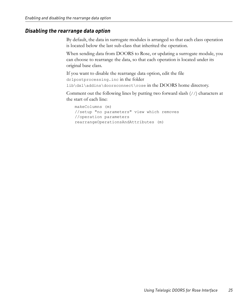#### <span id="page-30-1"></span><span id="page-30-0"></span>*Disabling the rearrange data option*

By default, the data in surrogate modules is arranged so that each class operation is located below the last sub-class that inherited the operation.

When sending data from DOORS to Rose, or updating a surrogate module, you can choose to rearrange the data, so that each operation is located under its original base class.

If you want to disable the rearrange data option, edit the file

drlpostprocessing.inc in the folder lib\dxl\addins\doorsconnect\rose in the DOORS home directory.

Comment out the following lines by putting two forward slash (//) characters at the start of each line:

```
makeColumns (m) 
//setup "no parameters" view which removes
//operation parameters
rearrangeOperationsAndAttributes (m)
```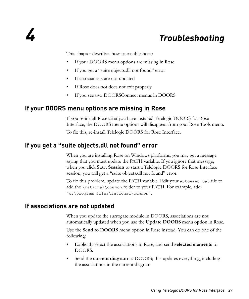# <span id="page-32-0"></span>*4 Troubleshooting*

This chapter describes how to troubleshoot:

- [If your DOORS menu options are missing in Rose](#page-32-1)
- [If you get a "suite objects.dll not found" error](#page-32-2)
- [If associations are not updated](#page-32-3)
- [If Rose does not does not exit properly](#page-33-0)
- [If you see two DOORSConnect menus in DOORS](#page-33-1)

#### <span id="page-32-6"></span><span id="page-32-1"></span>**If your DOORS menu options are missing in Rose**

If you re-install Rose after you have installed Telelogic DOORS for Rose Interface, the DOORS menu options will disappear from your Rose Tools menu. To fix this, re-install Telelogic DOORS for Rose Interface.

## <span id="page-32-4"></span><span id="page-32-2"></span>**If you get a "suite objects.dll not found" error**

When you are installing Rose on Windows platforms, you may get a message saying that you must update the PATH variable. If you ignore that message, when you click **Start Session** to start a Telelogic DOORS for Rose Interface session, you will get a "suite objects.dll not found" error.

To fix this problem, update the PATH variable. Edit your autoexec.bat file to add the \rational\common folder to your PATH. For example, add: "c:\program files\rational\common".

## <span id="page-32-5"></span><span id="page-32-3"></span>**If associations are not updated**

When you update the surrogate module in DOORS, associations are not automatically updated when you use the **Update DOORS** menu option in Rose.

Use the **Send to DOORS** menu option in Rose instead. You can do one of the following:

- Explicitly select the associations in Rose, and send **selected elements** to DOORS.
- Send the **current diagram** to DOORS; this updates everything, including the associations in the current diagram.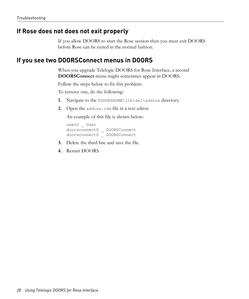## <span id="page-33-2"></span><span id="page-33-0"></span>**If Rose does not does not exit properly**

If you allow DOORS to start the Rose session then you must exit DOORS before Rose can be exited in the normal fashion.

## <span id="page-33-3"></span><span id="page-33-1"></span>**If you see two DOORSConnect menus in DOORS**

When you upgrade Telelogic DOORS for Rose Interface, a second **DOORSConnect** menu might sometimes appear in DOORS.

Follow the steps below to fix this problem:

To remove one, do the following:

- **1.** Navigate to the \$DOORSHOME\lib\dxl\addins directory.
- **2.** Open the addins.idx file in a text editor.

An example of this file is shown below:

```
userU _ User
doorsconnectD _ DOORSConnect
doorsconnectD _ DOORSConnect
```
- **3.** Delete the third line and save the file.
- **4.** Restart DOORS.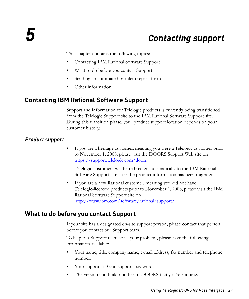# *5 Contacting support*

<span id="page-34-0"></span>This chapter contains the following topics:

- [Contacting IBM Rational Software Support](#page-34-1)
- [What to do before you contact Support](#page-34-3)
- [Sending an automated problem report form](#page-35-0)
- <span id="page-34-4"></span>• [Other information](#page-37-2)

## <span id="page-34-1"></span>**Contacting IBM Rational Software Support**

Support and information for Telelogic products is currently being transitioned from the Telelogic Support site to the IBM Rational Software Support site. During this transition phase, your product support location depends on your customer history.

#### <span id="page-34-2"></span>*Product support*

• If you are a heritage customer, meaning you were a Telelogic customer prior to November 1, 2008, please visit the DOORS Support Web site on https://support.telelogic.com/doors.

Telelogic customers will be redirected automatically to the IBM Rational Software Support site after the product information has been migrated.

If you are a new Rational customer, meaning you did not have Telelogic-licensed products prior to November 1, 2008, please visit the IBM Rational Software Support site on http://www.ibm.com/software/rational/support/.

#### <span id="page-34-3"></span>**What to do before you contact Support**

If your site has a designated on-site support person, please contact that person before you contact our Support team.

To help our Support team solve your problem, please have the following information available:

- Your name, title, company name, e-mail address, fax number and telephone number.
- Your support ID and support password.
- The version and build number of DOORS that you're running.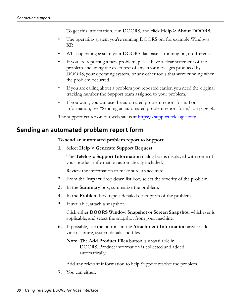To get this information, run DOORS, and click **Help > About DOORS**.

- The operating system you're running DOORS on, for example Windows XP.
- What operating system your DOORS database is running on, if different.
- If you are reporting a new problem, please have a clear statement of the problem, including the exact text of any error messages produced by DOORS, your operating system, or any other tools that were running when the problem occurred.
- If you are calling about a problem you reported earlier, you need the original tracking number the Support team assigned to your problem.
- If you want, you can use the automated problem report form. For information, see ["Sending an automated problem report form," on page 30.](#page-35-0)

<span id="page-35-1"></span>The support center on our web site is at https://support.telelogic.com.

#### <span id="page-35-0"></span>**Sending an automated problem report form**

**To send an automated problem report to Support:**

**1.** Select **Help > Generate Support Request**.

The **Telelogic Support Information** dialog box is displayed with some of your product information automatically included.

Review the information to make sure it's accurate.

- **2.** From the **Impact** drop down list box, select the severity of the problem.
- **3.** In the **Summary** box, summarize the problem.
- **4.** In the **Problem** box, type a detailed description of the problem.
- **5.** If available, attach a snapshot.

Click either **DOORS Window Snapshot** or **Screen Snapshot**, whichever is applicable, and select the snapshot from your machine.

- **6.** If possible, use the buttons in the **Attachment Information** area to add video capture, system details and files.
	- **Note** The **Add Product Files** button is unavailable in DOORS. Product information is collected and added automatically.

Add any relevant information to help Support resolve the problem.

**7.** You can either: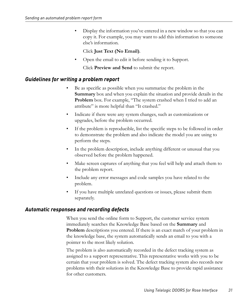• Display the information you've entered in a new window so that you can copy it. For example, you may want to add this information to someone else's information.

#### Click **Just Text (No Email)**.

• Open the email to edit it before sending it to Support.

Click **Preview and Send** to submit the report.

#### <span id="page-36-0"></span>*Guidelines for writing a problem report*

- Be as specific as possible when you summarize the problem in the **Summary** box and when you explain the situation and provide details in the **Problem** box. For example, "The system crashed when I tried to add an attribute" is more helpful than "It crashed."
- Indicate if there were any system changes, such as customizations or upgrades, before the problem occurred.
- If the problem is reproducible, list the specific steps to be followed in order to demonstrate the problem and also indicate the model you are using to perform the steps.
- In the problem description, include anything different or unusual that you observed before the problem happened.
- Make screen captures of anything that you feel will help and attach them to the problem report.
- Include any error messages and code samples you have related to the problem.
- If you have multiple unrelated questions or issues, please submit them separately.

#### <span id="page-36-1"></span>*Automatic responses and recording defects*

When you send the online form to Support, the customer service system immediately searches the Knowledge Base based on the **Summary** and **Problem** descriptions you entered. If there is an exact match of your problem in the knowledge base, the system automatically sends an email to you with a pointer to the most likely solution.

The problem is also automatically recorded in the defect tracking system as assigned to a support representative. This representative works with you to be certain that your problem is solved. The defect tracking system also records new problems with their solutions in the Knowledge Base to provide rapid assistance for other customers.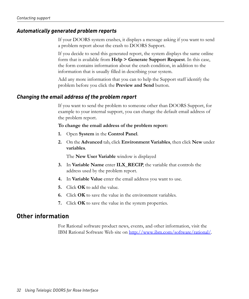#### <span id="page-37-0"></span>*Automatically generated problem reports*

If your DOORS system crashes, it displays a message asking if you want to send a problem report about the crash to DOORS Support.

If you decide to send this generated report, the system displays the same online form that is available from **Help > Generate Support Request**. In this case, the form contains information about the crash condition, in addition to the information that is usually filled in describing your system.

<span id="page-37-3"></span>Add any more information that you can to help the Support staff identify the problem before you click the **Preview and Send** button.

#### <span id="page-37-1"></span>*Changing the email address of the problem report*

If you want to send the problem to someone other than DOORS Support, for example to your internal support, you can change the default email address of the problem report.

#### **To change the email address of the problem report:**

- **1.** Open **System** in the **Control Panel**.
- **2.** On the **Advanced** tab, click **Environment Variables**, then click **New** under **variables**.

The **New User Variable** window is displayed

- **3.** In **Variable Name** enter **ILX\_RECIP**, the variable that controls the address used by the problem report.
- **4.** In **Variable Value** enter the email address you want to use.
- **5.** Click **OK** to add the value.
- **6.** Click **OK** to save the value in the environment variables.
- **7.** Click **OK** to save the value in the system properties.

#### <span id="page-37-2"></span>**Other information**

For Rational software product news, events, and other information, visit the IBM Rational Software Web site on http://www.ibm.com/software/rational/.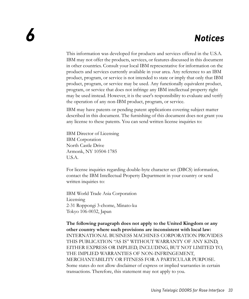# <span id="page-38-1"></span>*6 Notices*

<span id="page-38-0"></span>This information was developed for products and services offered in the U.S.A. IBM may not offer the products, services, or features discussed in this document in other countries. Consult your local IBM representative for information on the products and services currently available in your area. Any reference to an IBM product, program, or service is not intended to state or imply that only that IBM product, program, or service may be used. Any functionally equivalent product, program, or service that does not infringe any IBM intellectual property right may be used instead. However, it is the user's responsibility to evaluate and verify the operation of any non-IBM product, program, or service.

IBM may have patents or pending patent applications covering subject matter described in this document. The furnishing of this document does not grant you any license to these patents. You can send written license inquiries to:

IBM Director of Licensing IBM Corporation North Castle Drive Armonk, NY 10504-1785 U.S.A.

For license inquiries regarding double-byte character set (DBCS) information, contact the IBM Intellectual Property Department in your country or send written inquiries to:

IBM World Trade Asia Corporation Licensing 2-31 Roppongi 3-chome, Minato-ku Tokyo 106-0032, Japan

**The following paragraph does not apply to the United Kingdom or any other country where such provisions are inconsistent with local law:** INTERNATIONAL BUSINESS MACHINES CORPORATION PROVIDES THIS PUBLICATION "AS IS" WITHOUT WARRANTY OF ANY KIND, EITHER EXPRESS OR IMPLIED, INCLUDING, BUT NOT LIMITED TO, THE IMPLIED WARRANTIES OF NON-INFRINGEMENT, MERCHANTABILITY OR FITNESS FOR A PARTICULAR PURPOSE. Some states do not allow disclaimer of express or implied warranties in certain transactions. Therefore, this statement may not apply to you.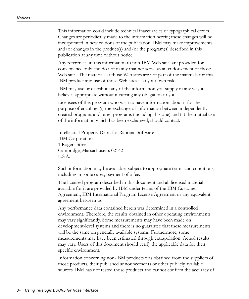This information could include technical inaccuracies or typographical errors. Changes are periodically made to the information herein; these changes will be incorporated in new editions of the publication. IBM may make improvements and/or changes in the product(s) and/or the program(s) described in this publication at any time without notice.

Any references in this information to non-IBM Web sites are provided for convenience only and do not in any manner serve as an endorsement of those Web sites. The materials at those Web sites are not part of the materials for this IBM product and use of those Web sites is at your own risk.

IBM may use or distribute any of the information you supply in any way it believes appropriate without incurring any obligation to you.

Licensees of this program who wish to have information about it for the purpose of enabling: (i) the exchange of information between independently created programs and other programs (including this one) and (ii) the mutual use of the information which has been exchanged, should contact:

Intellectual Property Dept. for Rational Software IBM Corporation 1 Rogers Street Cambridge, Massachusetts 02142 U.S.A.

Such information may be available, subject to appropriate terms and conditions, including in some cases, payment of a fee.

The licensed program described in this document and all licensed material available for it are provided by IBM under terms of the IBM Customer Agreement, IBM International Program License Agreement or any equivalent agreement between us.

Any performance data contained herein was determined in a controlled environment. Therefore, the results obtained in other operating environments may vary significantly. Some measurements may have been made on development-level systems and there is no guarantee that these measurements will be the same on generally available systems. Furthermore, some measurements may have been estimated through extrapolation. Actual results may vary. Users of this document should verify the applicable data for their specific environment.

Information concerning non-IBM products was obtained from the suppliers of those products, their published announcements or other publicly available sources. IBM has not tested those products and cannot confirm the accuracy of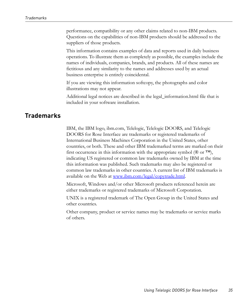performance, compatibility or any other claims related to non-IBM products. Questions on the capabilities of non-IBM products should be addressed to the suppliers of those products.

This information contains examples of data and reports used in daily business operations. To illustrate them as completely as possible, the examples include the names of individuals, companies, brands, and products. All of these names are fictitious and any similarity to the names and addresses used by an actual business enterprise is entirely coincidental.

If you are viewing this information softcopy, the photographs and color illustrations may not appear.

Additional legal notices are described in the legal\_information.html file that is included in your software installation.

#### <span id="page-40-0"></span>**Trademarks**

IBM, the IBM logo, ibm.com, Telelogic, Telelogic DOORS, and Telelogic DOORS for Rose Interface are trademarks or registered trademarks of International Business Machines Corporation in the United States, other countries, or both. These and other IBM trademarked terms are marked on their first occurrence in this information with the appropriate symbol ( $\mathbb{Q}$  or  $TM$ ), indicating US registered or common law trademarks owned by IBM at the time this information was published. Such trademarks may also be registered or common law trademarks in other countries. A current list of IBM trademarks is available on the Web at www.ibm.com/legal/copytrade.html.

Microsoft, Windows and/or other Microsoft products referenced herein are either trademarks or registered trademarks of Microsoft Corporation.

UNIX is a registered trademark of The Open Group in the United States and other countries.

Other company, product or service names may be trademarks or service marks of others.